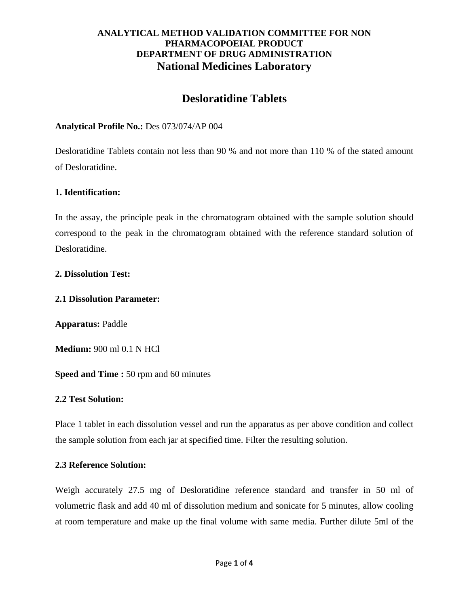# **Desloratidine Tablets**

## **Analytical Profile No.:** Des 073/074/AP 004

Desloratidine Tablets contain not less than 90 % and not more than 110 % of the stated amount of Desloratidine.

### **1. Identification:**

In the assay, the principle peak in the chromatogram obtained with the sample solution should correspond to the peak in the chromatogram obtained with the reference standard solution of Desloratidine.

### **2. Dissolution Test:**

#### **2.1 Dissolution Parameter:**

**Apparatus:** Paddle

**Medium:** 900 ml 0.1 N HCl

**Speed and Time :** 50 rpm and 60 minutes

#### **2.2 Test Solution:**

Place 1 tablet in each dissolution vessel and run the apparatus as per above condition and collect the sample solution from each jar at specified time. Filter the resulting solution.

#### **2.3 Reference Solution:**

Weigh accurately 27.5 mg of Desloratidine reference standard and transfer in 50 ml of volumetric flask and add 40 ml of dissolution medium and sonicate for 5 minutes, allow cooling at room temperature and make up the final volume with same media. Further dilute 5ml of the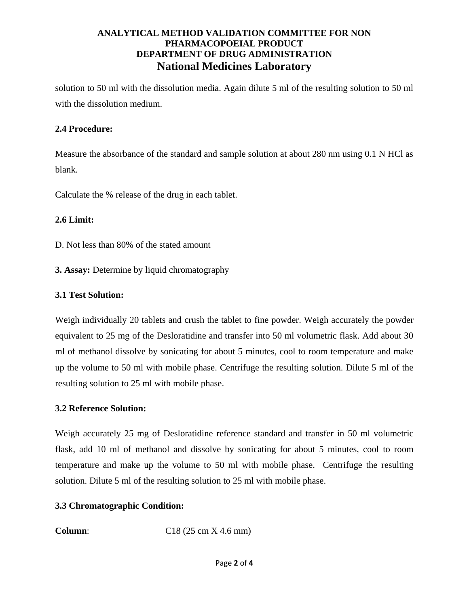solution to 50 ml with the dissolution media. Again dilute 5 ml of the resulting solution to 50 ml with the dissolution medium.

## **2.4 Procedure:**

Measure the absorbance of the standard and sample solution at about 280 nm using 0.1 N HCl as blank.

Calculate the % release of the drug in each tablet.

### **2.6 Limit:**

D. Not less than 80% of the stated amount

**3. Assay:** Determine by liquid chromatography

### **3.1 Test Solution:**

Weigh individually 20 tablets and crush the tablet to fine powder. Weigh accurately the powder equivalent to 25 mg of the Desloratidine and transfer into 50 ml volumetric flask. Add about 30 ml of methanol dissolve by sonicating for about 5 minutes, cool to room temperature and make up the volume to 50 ml with mobile phase. Centrifuge the resulting solution. Dilute 5 ml of the resulting solution to 25 ml with mobile phase.

#### **3.2 Reference Solution:**

Weigh accurately 25 mg of Desloratidine reference standard and transfer in 50 ml volumetric flask, add 10 ml of methanol and dissolve by sonicating for about 5 minutes, cool to room temperature and make up the volume to 50 ml with mobile phase. Centrifuge the resulting solution. Dilute 5 ml of the resulting solution to 25 ml with mobile phase.

## **3.3 Chromatographic Condition:**

**Column:** C18 (25 cm X 4.6 mm)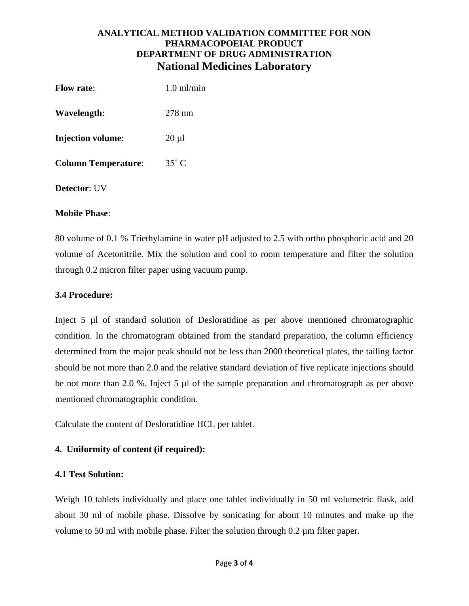| <b>Flow rate:</b>          | $1.0 \text{ ml/min}$ |
|----------------------------|----------------------|
| Wavelength:                | $278 \text{ nm}$     |
| <b>Injection volume:</b>   | $20 \mu l$           |
| <b>Column Temperature:</b> | $35^{\circ}$ C       |
| <b>Detector:</b> UV        |                      |

#### **Mobile Phase**:

80 volume of 0.1 % Triethylamine in water pH adjusted to 2.5 with ortho phosphoric acid and 20 volume of Acetonitrile. Mix the solution and cool to room temperature and filter the solution through 0.2 micron filter paper using vacuum pump.

### **3.4 Procedure:**

Inject 5 µl of standard solution of Desloratidine as per above mentioned chromatographic condition. In the chromatogram obtained from the standard preparation, the column efficiency determined from the major peak should not be less than 2000 theoretical plates, the tailing factor should be not more than 2.0 and the relative standard deviation of five replicate injections should be not more than 2.0 %. Inject 5 µl of the sample preparation and chromatograph as per above mentioned chromatographic condition.

Calculate the content of Desloratidine HCL per tablet.

## **4. Uniformity of content (if required):**

#### **4.1 Test Solution:**

Weigh 10 tablets individually and place one tablet individually in 50 ml volumetric flask, add about 30 ml of mobile phase. Dissolve by sonicating for about 10 minutes and make up the volume to 50 ml with mobile phase. Filter the solution through 0.2 µm filter paper.